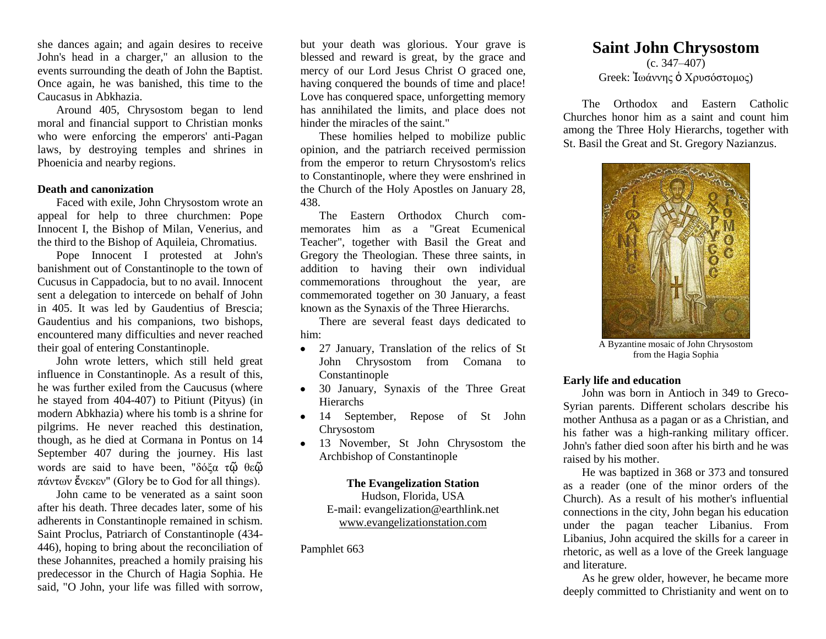she dances again; and again desires to receive John's head in a charger," an allusion to the events surrounding the death of John the Baptist. Once again, he was banished, this time to the Caucasus in Abkhazia.

Around 405, Chrysostom began to lend moral and financial support to Christian monks who were enforcing the emperors' anti-Pagan laws, by destroying temples and shrines in Phoenicia and nearby regions.

## **Death and canonization**

Faced with exile, John Chrysostom wrote an appeal for help to three churchmen: Pope Innocent I, the Bishop of Milan, Venerius, and the third to the Bishop of Aquileia, Chromatius.

Pope Innocent I protested at John's banishment out of Constantinople to the town of Cucusus in Cappadocia, but to no avail. Innocent sent a delegation to intercede on behalf of John in 405. It was led by Gaudentius of Brescia; Gaudentius and his companions, two bishops, encountered many difficulties and never reached their goal of entering Constantinople.

John wrote letters, which still held great influence in Constantinople. As a result of this, he was further exiled from the Caucusus (where he stayed from 404-407) to Pitiunt (Pityus) (in modern Abkhazia) where his tomb is a shrine for pilgrims. He never reached this destination, though, as he died at Cormana in Pontus on 14 September 407 during the journey. His last words are said to have been, "δόξα τῷ θεῷ πάντων ἕνεκεν" (Glory be to God for all things).

John came to be venerated as a saint soon after his death. Three decades later, some of his adherents in Constantinople remained in schism. Saint Proclus, Patriarch of Constantinople (434- 446), hoping to bring about the reconciliation of these Johannites, preached a homily praising his predecessor in the Church of Hagia Sophia. He said, "O John, your life was filled with sorrow,

but your death was glorious. Your grave is blessed and reward is great, by the grace and mercy of our Lord Jesus Christ O graced one, having conquered the bounds of time and place! Love has conquered space, unforgetting memory has annihilated the limits, and place does not hinder the miracles of the saint."

These homilies helped to mobilize public opinion, and the patriarch received permission from the emperor to return Chrysostom's relics to Constantinople, where they were enshrined in the Church of the Holy Apostles on January 28, 438.

The Eastern Orthodox Church commemorates him as a "Great Ecumenical Teacher", together with Basil the Great and Gregory the Theologian. These three saints, in addition to having their own individual commemorations throughout the year, are commemorated together on 30 January, a feast known as the Synaxis of the Three Hierarchs.

There are several feast days dedicated to him:

- 27 January, Translation of the relics of St John Chrysostom from Comana to Constantinople
- 30 January, Synaxis of the Three Great Hierarchs
- 14 September, Repose of St John Chrysostom
- 13 November, St John Chrysostom the Archbishop of Constantinople

#### **The Evangelization Station** Hudson, Florida, USA

E-mail: evangelization@earthlink.net [www.evangelizationstation.com](http://www.pjpiisoe.org/)

Pamphlet 663

# **Saint John Chrysostom**

 $(c. 347 - 407)$ Greek: Ιωάννης **ο** Χρυσόστομος)

The Orthodox and Eastern Catholic Churches honor him as a saint and count him among the Three Holy Hierarchs, together with St. Basil the Great and St. Gregory Nazianzus.



A Byzantine mosaic of John Chrysostom from the Hagia Sophia

#### **Early life and education**

John was born in Antioch in 349 to Greco-Syrian parents. Different scholars describe his mother Anthusa as a pagan or as a Christian, and his father was a high-ranking military officer. John's father died soon after his birth and he was raised by his mother.

He was baptized in 368 or 373 and tonsured as a reader (one of the minor orders of the Church). As a result of his mother's influential connections in the city, John began his education under the pagan teacher Libanius. From Libanius, John acquired the skills for a career in rhetoric, as well as a love of the Greek language and literature.

As he grew older, however, he became more deeply committed to Christianity and went on to